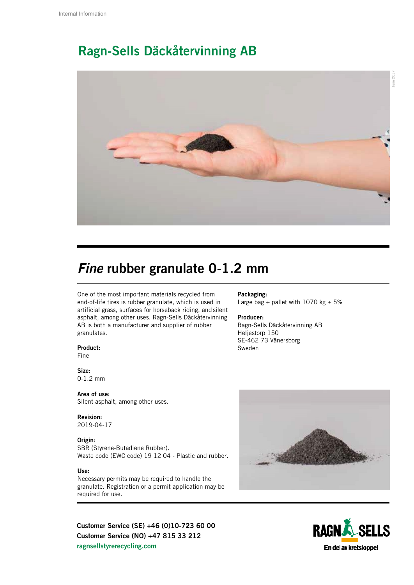## Ragn-Sells Däckåtervinning AB



## *Fine* rubber granulate 0-1.2 mm

One of the most important materials recycled from end-of-life tires is rubber granulate, which is used in artificial grass, surfaces for horseback riding, and silent asphalt, among other uses. Ragn-Sells Däckåtervinning AB is both a manufacturer and supplier of rubber granulates.

Product:

Fine

Size: 0-1.2 mm

Area of use: Silent asphalt, among other uses.

Revision: 2019-04-17

### Origin:

SBR (Styrene-Butadiene Rubber). Waste code (EWC code) 19 12 04 - Plastic and rubber.

#### Use:

Necessary permits may be required to handle the granulate. Registration or a permit application may be required for use.

Customer Service (SE) +46 (0)10-723 60 00 Customer Service (NO) +47 815 33 212 ragnsellstyrerecycling.com

#### Packaging: Large bag + pallet with 1070 kg  $\pm$  5%

Producer: Ragn-Sells Däckåtervinning AB Heljestorp 150 SE-462 73 Vänersborg Sweden